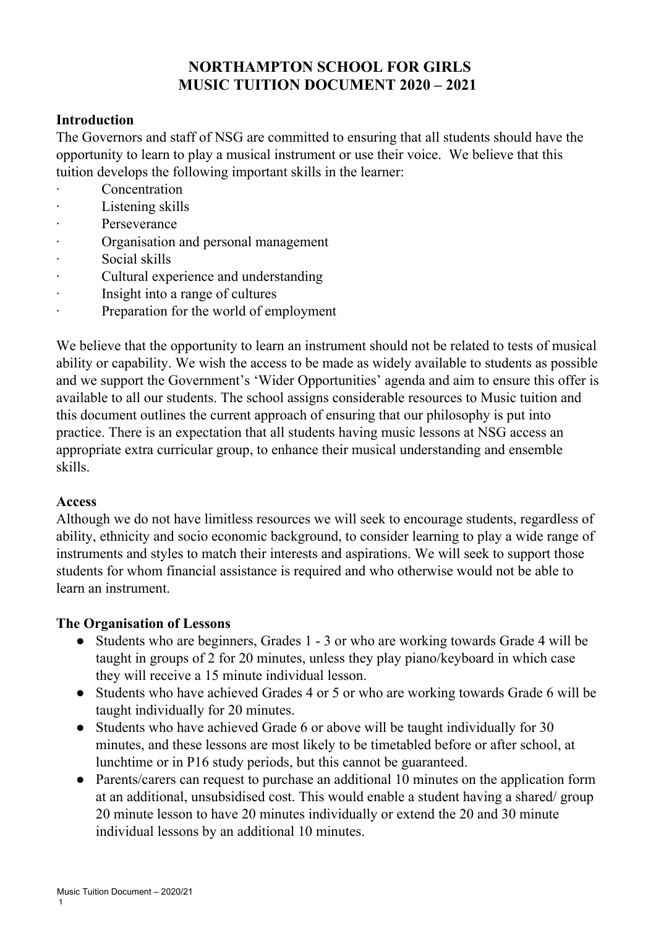# **NORTHAMPTON SCHOOL FOR GIRLS MUSIC TUITION DOCUMENT 2020 – 2021**

### **Introduction**

The Governors and staff of NSG are committed to ensuring that all students should have the opportunity to learn to play a musical instrument or use their voice. We believe that this tuition develops the following important skills in the learner:

- **Concentration**
- Listening skills
- Perseverance
- · Organisation and personal management
- Social skills
- · Cultural experience and understanding
- · Insight into a range of cultures
- Preparation for the world of employment

We believe that the opportunity to learn an instrument should not be related to tests of musical ability or capability. We wish the access to be made as widely available to students as possible and we support the Government's 'Wider Opportunities' agenda and aim to ensure this offer is available to all our students. The school assigns considerable resources to Music tuition and this document outlines the current approach of ensuring that our philosophy is put into practice. There is an expectation that all students having music lessons at NSG access an appropriate extra curricular group, to enhance their musical understanding and ensemble skills.

### **Access**

Although we do not have limitless resources we will seek to encourage students, regardless of ability, ethnicity and socio economic background, to consider learning to play a wide range of instruments and styles to match their interests and aspirations. We will seek to support those students for whom financial assistance is required and who otherwise would not be able to learn an instrument.

### **The Organisation of Lessons**

- Students who are beginners, Grades 1 3 or who are working towards Grade 4 will be taught in groups of 2 for 20 minutes, unless they play piano/keyboard in which case they will receive a 15 minute individual lesson.
- Students who have achieved Grades 4 or 5 or who are working towards Grade 6 will be taught individually for 20 minutes.
- Students who have achieved Grade 6 or above will be taught individually for 30 minutes, and these lessons are most likely to be timetabled before or after school, at lunchtime or in P16 study periods, but this cannot be guaranteed.
- Parents/carers can request to purchase an additional 10 minutes on the application form at an additional, unsubsidised cost. This would enable a student having a shared/ group 20 minute lesson to have 20 minutes individually or extend the 20 and 30 minute individual lessons by an additional 10 minutes.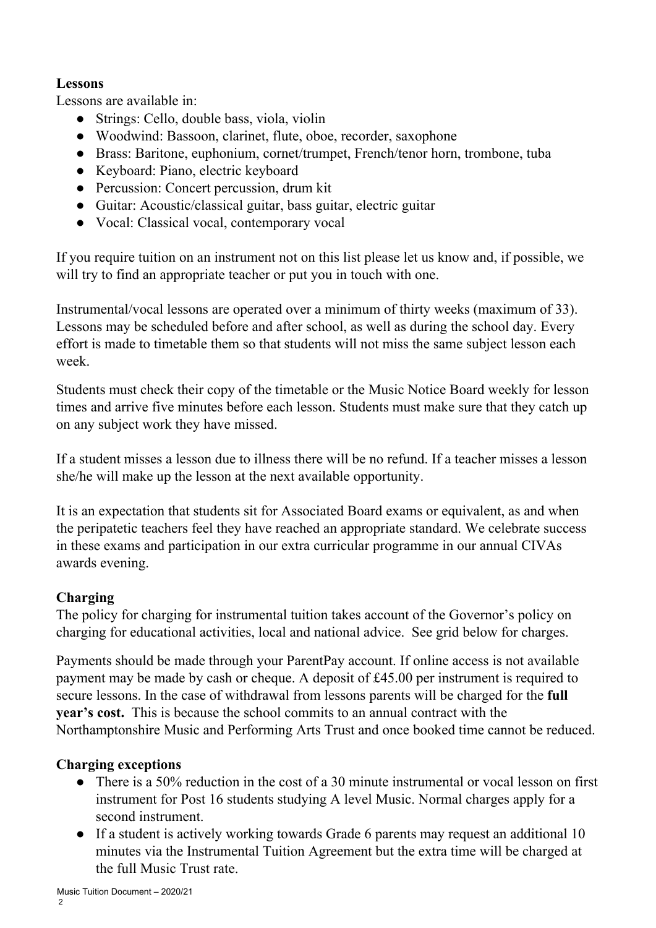### **Lessons**

Lessons are available in:

- Strings: Cello, double bass, viola, violin
- Woodwind: Bassoon, clarinet, flute, oboe, recorder, saxophone
- Brass: Baritone, euphonium, cornet/trumpet, French/tenor horn, trombone, tuba
- Keyboard: Piano, electric keyboard
- Percussion: Concert percussion, drum kit
- Guitar: Acoustic/classical guitar, bass guitar, electric guitar
- Vocal: Classical vocal, contemporary vocal

If you require tuition on an instrument not on this list please let us know and, if possible, we will try to find an appropriate teacher or put you in touch with one.

Instrumental/vocal lessons are operated over a minimum of thirty weeks (maximum of 33). Lessons may be scheduled before and after school, as well as during the school day. Every effort is made to timetable them so that students will not miss the same subject lesson each week.

Students must check their copy of the timetable or the Music Notice Board weekly for lesson times and arrive five minutes before each lesson. Students must make sure that they catch up on any subject work they have missed.

If a student misses a lesson due to illness there will be no refund. If a teacher misses a lesson she/he will make up the lesson at the next available opportunity.

It is an expectation that students sit for Associated Board exams or equivalent, as and when the peripatetic teachers feel they have reached an appropriate standard. We celebrate success in these exams and participation in our extra curricular programme in our annual CIVAs awards evening.

# **Charging**

The policy for charging for instrumental tuition takes account of the Governor's policy on charging for educational activities, local and national advice. See grid below for charges.

Payments should be made through your ParentPay account. If online access is not available payment may be made by cash or cheque. A deposit of £45.00 per instrument is required to secure lessons. In the case of withdrawal from lessons parents will be charged for the **full year's cost.** This is because the school commits to an annual contract with the Northamptonshire Music and Performing Arts Trust and once booked time cannot be reduced.

# **Charging exceptions**

- There is a 50% reduction in the cost of a 30 minute instrumental or vocal lesson on first instrument for Post 16 students studying A level Music. Normal charges apply for a second instrument.
- If a student is actively working towards Grade 6 parents may request an additional 10 minutes via the Instrumental Tuition Agreement but the extra time will be charged at the full Music Trust rate.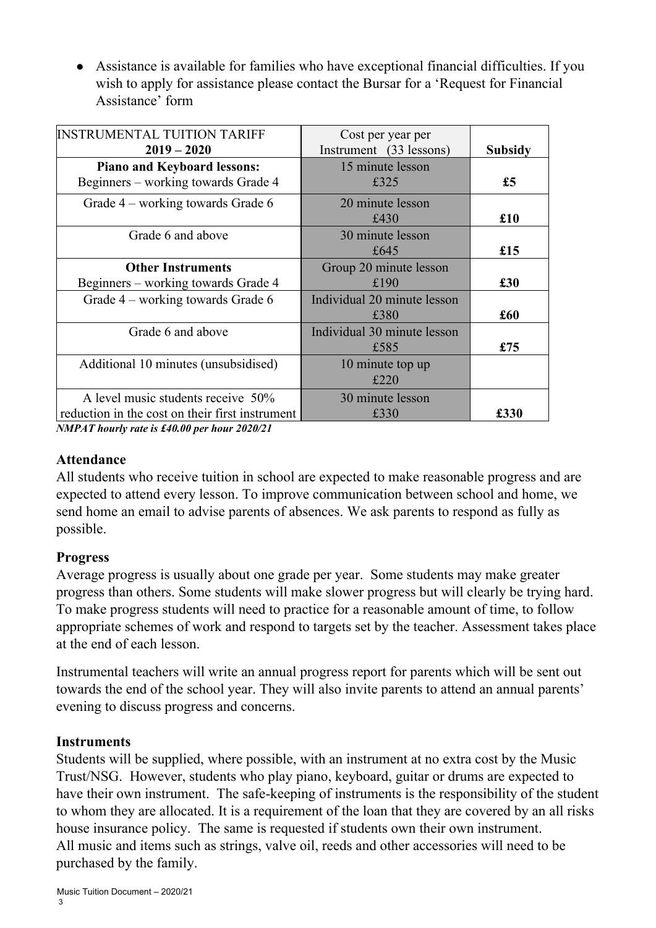● Assistance is available for families who have exceptional financial difficulties. If you wish to apply for assistance please contact the Bursar for a 'Request for Financial Assistance' form

| <b>INSTRUMENTAL TUITION TARIFF</b><br>$2019 - 2020$                                   | Cost per year per<br>Instrument (33 lessons) | <b>Subsidy</b> |
|---------------------------------------------------------------------------------------|----------------------------------------------|----------------|
| <b>Piano and Keyboard lessons:</b><br>Beginners – working towards Grade 4             | 15 minute lesson<br>£325                     | £5             |
| Grade 4 – working towards Grade 6                                                     | 20 minute lesson<br>£430                     | £10            |
| Grade 6 and above                                                                     | 30 minute lesson<br>£645                     | £15            |
| <b>Other Instruments</b><br>Beginners - working towards Grade 4                       | Group 20 minute lesson<br>£190               | £30            |
| Grade 4 – working towards Grade 6                                                     | Individual 20 minute lesson<br>£380          | £60            |
| Grade 6 and above                                                                     | Individual 30 minute lesson<br>£585          | £75            |
| Additional 10 minutes (unsubsidised)                                                  | 10 minute top up<br>£220                     |                |
| A level music students receive 50%<br>reduction in the cost on their first instrument | 30 minute lesson<br>£330                     | £330           |

*NMPAT hourly rate is £40.00 per hour 2020/21*

### **Attendance**

All students who receive tuition in school are expected to make reasonable progress and are expected to attend every lesson. To improve communication between school and home, we send home an email to advise parents of absences. We ask parents to respond as fully as possible.

### **Progress**

Average progress is usually about one grade per year. Some students may make greater progress than others. Some students will make slower progress but will clearly be trying hard. To make progress students will need to practice for a reasonable amount of time, to follow appropriate schemes of work and respond to targets set by the teacher. Assessment takes place at the end of each lesson.

Instrumental teachers will write an annual progress report for parents which will be sent out towards the end of the school year. They will also invite parents to attend an annual parents' evening to discuss progress and concerns.

### **Instruments**

Students will be supplied, where possible, with an instrument at no extra cost by the Music Trust/NSG. However, students who play piano, keyboard, guitar or drums are expected to have their own instrument. The safe-keeping of instruments is the responsibility of the student to whom they are allocated. It is a requirement of the loan that they are covered by an all risks house insurance policy. The same is requested if students own their own instrument. All music and items such as strings, valve oil, reeds and other accessories will need to be purchased by the family.